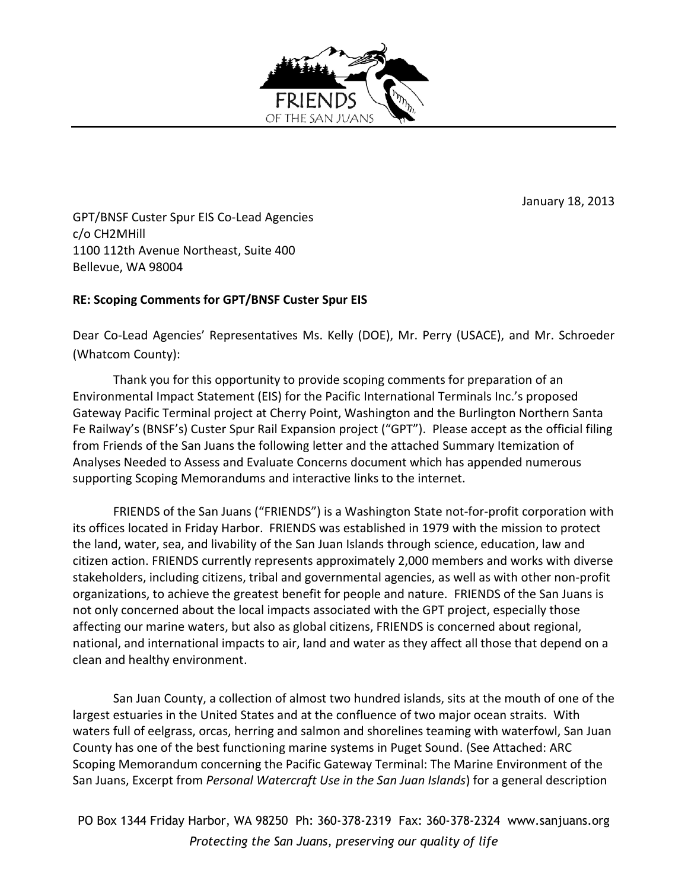

January 18, 2013

GPT/BNSF Custer Spur EIS Co-Lead Agencies c/o CH2MHill 1100 112th Avenue Northeast, Suite 400 Bellevue, WA 98004

# **RE: Scoping Comments for GPT/BNSF Custer Spur EIS**

Dear Co-Lead Agencies' Representatives Ms. Kelly (DOE), Mr. Perry (USACE), and Mr. Schroeder (Whatcom County):

Thank you for this opportunity to provide scoping comments for preparation of an Environmental Impact Statement (EIS) for the Pacific International Terminals Inc.'s proposed Gateway Pacific Terminal project at Cherry Point, Washington and the Burlington Northern Santa Fe Railway's (BNSF's) Custer Spur Rail Expansion project ("GPT"). Please accept as the official filing from Friends of the San Juans the following letter and the attached Summary Itemization of Analyses Needed to Assess and Evaluate Concerns document which has appended numerous supporting Scoping Memorandums and interactive links to the internet.

FRIENDS of the San Juans ("FRIENDS") is a Washington State not-for-profit corporation with its offices located in Friday Harbor. FRIENDS was established in 1979 with the mission to protect the land, water, sea, and livability of the San Juan Islands through science, education, law and citizen action. FRIENDS currently represents approximately 2,000 members and works with diverse stakeholders, including citizens, tribal and governmental agencies, as well as with other non-profit organizations, to achieve the greatest benefit for people and nature. FRIENDS of the San Juans is not only concerned about the local impacts associated with the GPT project, especially those affecting our marine waters, but also as global citizens, FRIENDS is concerned about regional, national, and international impacts to air, land and water as they affect all those that depend on a clean and healthy environment.

San Juan County, a collection of almost two hundred islands, sits at the mouth of one of the largest estuaries in the United States and at the confluence of two major ocean straits. With waters full of eelgrass, orcas, herring and salmon and shorelines teaming with waterfowl, San Juan County has one of the best functioning marine systems in Puget Sound. (See Attached: ARC Scoping Memorandum concerning the Pacific Gateway Terminal: The Marine Environment of the San Juans, Excerpt from *Personal Watercraft Use in the San Juan Islands*) for a general description

PO Box 1344 Friday Harbor, WA 98250 Ph: 360-378-2319 Fax: 360-378-2324 www.sanjuans.org *Protecting the San Juans, preserving our quality of life*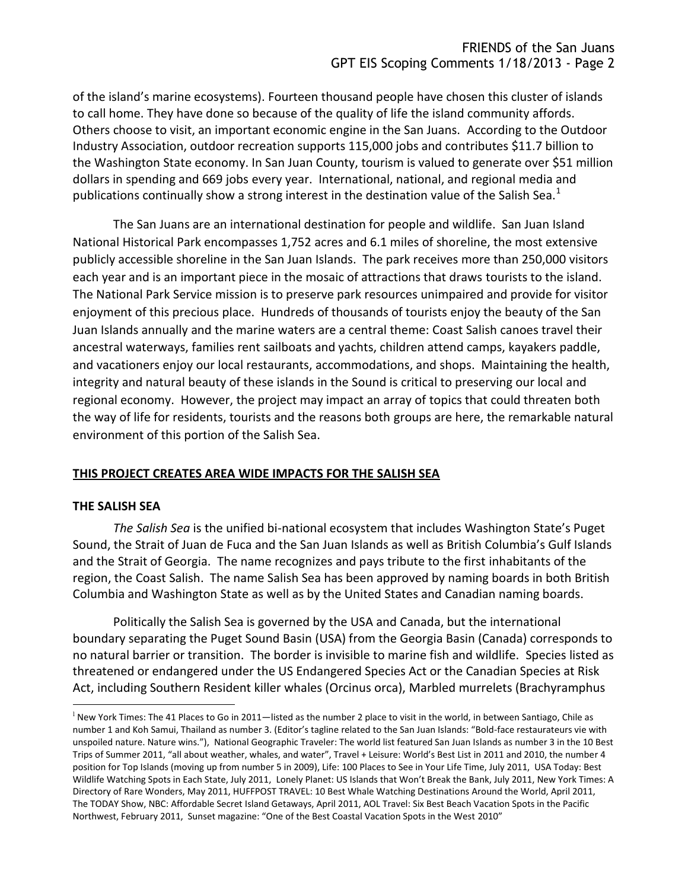of the island's marine ecosystems). Fourteen thousand people have chosen this cluster of islands to call home. They have done so because of the quality of life the island community affords. Others choose to visit, an important economic engine in the San Juans. According to the Outdoor Industry Association, outdoor recreation supports 115,000 jobs and contributes \$11.7 billion to the Washington State economy. In San Juan County, tourism is valued to generate over \$51 million dollars in spending and 669 jobs every year. International, national, and regional media and publications continually show a strong interest in the destination value of the Salish Sea.<sup>1</sup>

The San Juans are an international destination for people and wildlife. San Juan Island National Historical Park encompasses 1,752 acres and 6.1 miles of shoreline, the most extensive publicly accessible shoreline in the San Juan Islands. The park receives more than 250,000 visitors each year and is an important piece in the mosaic of attractions that draws tourists to the island. The National Park Service mission is to preserve park resources unimpaired and provide for visitor enjoyment of this precious place. Hundreds of thousands of tourists enjoy the beauty of the San Juan Islands annually and the marine waters are a central theme: Coast Salish canoes travel their ancestral waterways, families rent sailboats and yachts, children attend camps, kayakers paddle, and vacationers enjoy our local restaurants, accommodations, and shops. Maintaining the health, integrity and natural beauty of these islands in the Sound is critical to preserving our local and regional economy. However, the project may impact an array of topics that could threaten both the way of life for residents, tourists and the reasons both groups are here, the remarkable natural environment of this portion of the Salish Sea.

### **THIS PROJECT CREATES AREA WIDE IMPACTS FOR THE SALISH SEA**

### **THE SALISH SEA**

 $\overline{a}$ 

*The Salish Sea* is the unified bi-national ecosystem that includes Washington State's Puget Sound, the Strait of Juan de Fuca and the San Juan Islands as well as British Columbia's Gulf Islands and the Strait of Georgia. The name recognizes and pays tribute to the first inhabitants of the region, the Coast Salish. The name Salish Sea has been approved by naming boards in both British Columbia and Washington State as well as by the United States and Canadian naming boards.

Politically the Salish Sea is governed by the USA and Canada, but the international boundary separating the Puget Sound Basin (USA) from the Georgia Basin (Canada) corresponds to no natural barrier or transition. The border is invisible to marine fish and wildlife. Species listed as threatened or endangered under the US Endangered Species Act or the Canadian Species at Risk Act, including Southern Resident killer whales (Orcinus orca), Marbled murrelets (Brachyramphus

<sup>&</sup>lt;sup>1</sup> New York Times: The 41 Places to Go in 2011—listed as the number 2 place to visit in the world, in between Santiago, Chile as number 1 and Koh Samui, Thailand as number 3. (Editor's tagline related to the San Juan Islands: "Bold-face restaurateurs vie with unspoiled nature. Nature wins."), National Geographic Traveler: The world list featured San Juan Islands as number 3 in the 10 Best Trips of Summer 2011, "all about weather, whales, and water", Travel + Leisure: World's Best List in 2011 and 2010, the number 4 position for Top Islands (moving up from number 5 in 2009), Life: 100 Places to See in Your Life Time, July 2011, USA Today: Best Wildlife Watching Spots in Each State, July 2011, Lonely Planet: US Islands that Won't Break the Bank, July 2011, New York Times: A Directory of Rare Wonders, May 2011, HUFFPOST TRAVEL: 10 Best Whale Watching Destinations Around the World, April 2011, The TODAY Show, NBC: Affordable Secret Island Getaways, April 2011, AOL Travel: Six Best Beach Vacation Spots in the Pacific Northwest, February 2011, Sunset magazine: "One of the Best Coastal Vacation Spots in the West 2010"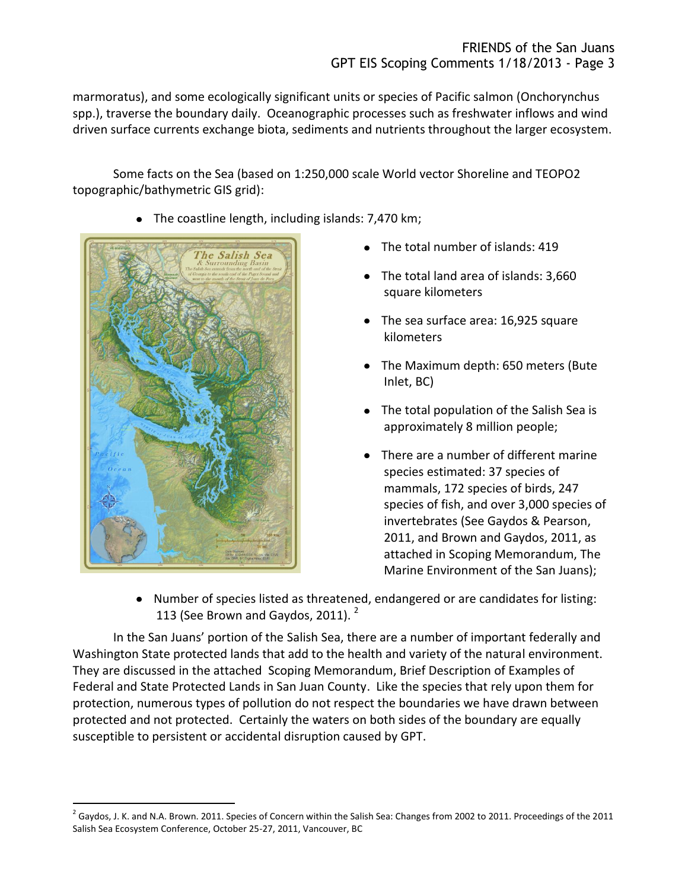marmoratus), and some ecologically significant units or species of Pacific salmon (Onchorynchus spp.), traverse the boundary daily. Oceanographic processes such as freshwater inflows and wind driven surface currents exchange biota, sediments and nutrients throughout the larger ecosystem.

Some facts on the Sea (based on 1:250,000 scale World vector Shoreline and TEOPO2 topographic/bathymetric GIS grid):

The coastline length, including islands: 7,470 km;



 $\overline{a}$ 

- The total number of islands: 419
- The total land area of islands: 3,660 square kilometers
- The sea surface area: 16,925 square kilometers
- The Maximum depth: 650 meters (Bute Inlet, BC)
- The total population of the Salish Sea is approximately 8 million people;
- There are a number of different marine species estimated: 37 species of mammals, 172 species of birds, 247 species of fish, and over 3,000 species of invertebrates (See Gaydos & Pearson, 2011, and Brown and Gaydos, 2011, as attached in Scoping Memorandum, The Marine Environment of the San Juans);
- Number of species listed as threatened, endangered or are candidates for listing: 113 (See Brown and Gaydos, 2011).  $2^2$

In the San Juans' portion of the Salish Sea, there are a number of important federally and Washington State protected lands that add to the health and variety of the natural environment. They are discussed in the attached Scoping Memorandum, Brief Description of Examples of Federal and State Protected Lands in San Juan County. Like the species that rely upon them for protection, numerous types of pollution do not respect the boundaries we have drawn between protected and not protected. Certainly the waters on both sides of the boundary are equally susceptible to persistent or accidental disruption caused by GPT.

 $^2$  Gaydos, J. K. and N.A. Brown. 2011. Species of Concern within the Salish Sea: Changes from 2002 to 2011. Proceedings of the 2011 Salish Sea Ecosystem Conference, October 25-27, 2011, Vancouver, BC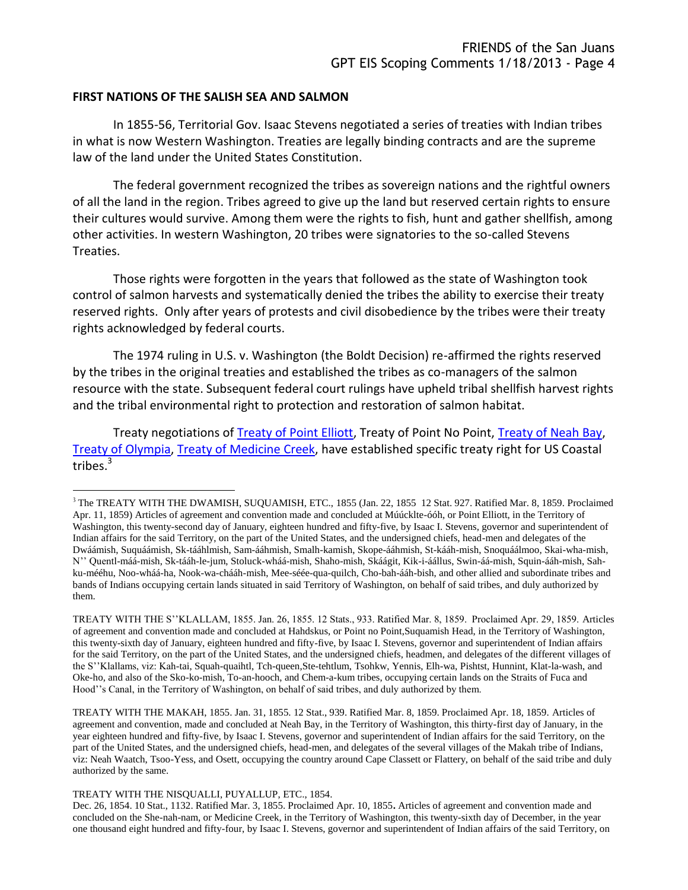#### **FIRST NATIONS OF THE SALISH SEA AND SALMON**

In 1855-56, Territorial Gov. Isaac Stevens negotiated a series of treaties with Indian tribes in what is now Western Washington. Treaties are legally binding contracts and are the supreme law of the land under the United States Constitution.

The federal government recognized the tribes as sovereign nations and the rightful owners of all the land in the region. Tribes agreed to give up the land but reserved certain rights to ensure their cultures would survive. Among them were the rights to fish, hunt and gather shellfish, among other activities. In western Washington, 20 tribes were signatories to the so-called Stevens Treaties.

Those rights were forgotten in the years that followed as the state of Washington took control of salmon harvests and systematically denied the tribes the ability to exercise their treaty reserved rights. Only after years of protests and civil disobedience by the tribes were their treaty rights acknowledged by federal courts.

The 1974 ruling in U.S. v. Washington (the Boldt Decision) re-affirmed the rights reserved by the tribes in the original treaties and established the tribes as co-managers of the salmon resource with the state. Subsequent federal court rulings have upheld tribal shellfish harvest rights and the tribal environmental right to protection and restoration of salmon habitat.

Treaty negotiations of [Treaty of Point Elliott,](http://access.nwifc.org/tribes/documents/TreatyofPointElliott.pdf) Treaty of Point No Point, [Treaty of Neah Bay,](http://access.nwifc.org/tribes/documents/TreatyofNeahBay.pdf) [Treaty of Olympia,](http://access.nwifc.org/tribes/documents/TreatyofOlympia.pdf) [Treaty of Medicine Creek,](http://access.nwifc.org/tribes/documents/TreatyofMedicineCreek.pdf) have established specific treaty right for US Coastal  $\frac{1}{1}$ tribes.<sup>3</sup>

TREATY WITH THE MAKAH, 1855. Jan. 31, 1855. 12 Stat., 939. Ratified Mar. 8, 1859. Proclaimed Apr. 18, 1859. Articles of agreement and convention, made and concluded at Neah Bay, in the Territory of Washington, this thirty-first day of January, in the year eighteen hundred and fifty-five, by Isaac I. Stevens, governor and superintendent of Indian affairs for the said Territory, on the part of the United States, and the undersigned chiefs, head-men, and delegates of the several villages of the Makah tribe of Indians, viz: Neah Waatch, Tsoo-Yess, and Osett, occupying the country around Cape Classett or Flattery, on behalf of the said tribe and duly authorized by the same.

TREATY WITH THE NISQUALLI, PUYALLUP, ETC., 1854.

 $\overline{a}$ 

Dec. 26, 1854. 10 Stat., 1132. Ratified Mar. 3, 1855. Proclaimed Apr. 10, 1855**.** Articles of agreement and convention made and concluded on the She-nah-nam, or Medicine Creek, in the Territory of Washington, this twenty-sixth day of December, in the year one thousand eight hundred and fifty-four, by Isaac I. Stevens, governor and superintendent of Indian affairs of the said Territory, on

<sup>&</sup>lt;sup>3</sup> The TREATY WITH THE DWAMISH, SUQUAMISH, ETC., 1855 (Jan. 22, 1855 12 Stat. 927. Ratified Mar. 8, 1859. Proclaimed Apr. 11, 1859) Articles of agreement and convention made and concluded at Múúcklte-óóh, or Point Elliott, in the Territory of Washington, this twenty-second day of January, eighteen hundred and fifty-five, by Isaac I. Stevens, governor and superintendent of Indian affairs for the said Territory, on the part of the United States, and the undersigned chiefs, head-men and delegates of the Dwáámish, Suquáámish, Sk-tááhlmish, Sam-ááhmish, Smalh-kamish, Skope-ááhmish, St-kááh-mish, Snoquáálmoo, Skai-wha-mish, N'' Quentl-máá-mish, Sk-tááh-le-jum, Stoluck-wháá-mish, Shaho-mish, Skáágit, Kik-i-áállus, Swin-áá-mish, Squin-ááh-mish, Sahku-mééhu, Noo-wháá-ha, Nook-wa-chááh-mish, Mee-séée-qua-quilch, Cho-bah-ááh-bish, and other allied and subordinate tribes and bands of Indians occupying certain lands situated in said Territory of Washington, on behalf of said tribes, and duly authorized by them.

TREATY WITH THE S''KLALLAM, 1855. Jan. 26, 1855. 12 Stats., 933. Ratified Mar. 8, 1859. Proclaimed Apr. 29, 1859. Articles of agreement and convention made and concluded at Hahdskus, or Point no Point,Suquamish Head, in the Territory of Washington, this twenty-sixth day of January, eighteen hundred and fifty-five, by Isaac I. Stevens, governor and superintendent of Indian affairs for the said Territory, on the part of the United States, and the undersigned chiefs, headmen, and delegates of the different villages of the S''Klallams, viz: Kah-tai, Squah-quaihtl, Tch-queen,Ste-tehtlum, Tsohkw, Yennis, Elh-wa, Pishtst, Hunnint, Klat-la-wash, and Oke-ho, and also of the Sko-ko-mish, To-an-hooch, and Chem-a-kum tribes, occupying certain lands on the Straits of Fuca and Hood''s Canal, in the Territory of Washington, on behalf of said tribes, and duly authorized by them.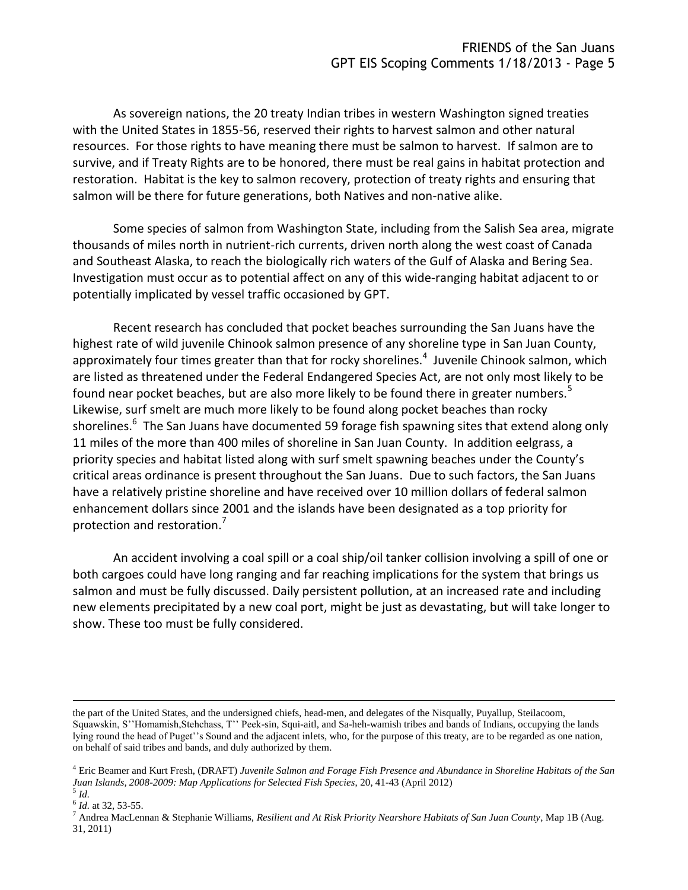As sovereign nations, the 20 treaty Indian tribes in western Washington signed treaties with the United States in 1855-56, reserved their rights to harvest salmon and other natural resources. For those rights to have meaning there must be salmon to harvest. If salmon are to survive, and if Treaty Rights are to be honored, there must be real gains in habitat protection and restoration. Habitat is the key to salmon recovery, protection of treaty rights and ensuring that salmon will be there for future generations, both Natives and non-native alike.

Some species of salmon from Washington State, including from the Salish Sea area, migrate thousands of miles north in nutrient-rich currents, driven north along the west coast of Canada and Southeast Alaska, to reach the biologically rich waters of the Gulf of Alaska and Bering Sea. Investigation must occur as to potential affect on any of this wide-ranging habitat adjacent to or potentially implicated by vessel traffic occasioned by GPT.

Recent research has concluded that pocket beaches surrounding the San Juans have the highest rate of wild juvenile Chinook salmon presence of any shoreline type in San Juan County, approximately four times greater than that for rocky shorelines.<sup>4</sup> Juvenile Chinook salmon, which are listed as threatened under the Federal Endangered Species Act, are not only most likely to be found near pocket beaches, but are also more likely to be found there in greater numbers.<sup>5</sup> Likewise, surf smelt are much more likely to be found along pocket beaches than rocky shorelines.<sup>6</sup> The San Juans have documented 59 forage fish spawning sites that extend along only 11 miles of the more than 400 miles of shoreline in San Juan County. In addition eelgrass, a priority species and habitat listed along with surf smelt spawning beaches under the County's critical areas ordinance is present throughout the San Juans. Due to such factors, the San Juans have a relatively pristine shoreline and have received over 10 million dollars of federal salmon enhancement dollars since 2001 and the islands have been designated as a top priority for protection and restoration.<sup>7</sup>

An accident involving a coal spill or a coal ship/oil tanker collision involving a spill of one or both cargoes could have long ranging and far reaching implications for the system that brings us salmon and must be fully discussed. Daily persistent pollution, at an increased rate and including new elements precipitated by a new coal port, might be just as devastating, but will take longer to show. These too must be fully considered.

 $\overline{a}$ 

the part of the United States, and the undersigned chiefs, head-men, and delegates of the Nisqually, Puyallup, Steilacoom, Squawskin, S''Homamish,Stehchass, T'' Peek-sin, Squi-aitl, and Sa-heh-wamish tribes and bands of Indians, occupying the lands lying round the head of Puget''s Sound and the adjacent inlets, who, for the purpose of this treaty, are to be regarded as one nation, on behalf of said tribes and bands, and duly authorized by them.

<sup>4</sup> Eric Beamer and Kurt Fresh, (DRAFT) *Juvenile Salmon and Forage Fish Presence and Abundance in Shoreline Habitats of the San Juan Islands, 2008-2009: Map Applications for Selected Fish Species*, 20, 41-43 (April 2012)

<sup>5</sup> *Id.*

<sup>&</sup>lt;sup>6</sup> *Id.* at 32, 53-55.

<sup>7</sup> Andrea MacLennan & Stephanie Williams, *Resilient and At Risk Priority Nearshore Habitats of San Juan County*, Map 1B (Aug. 31, 2011)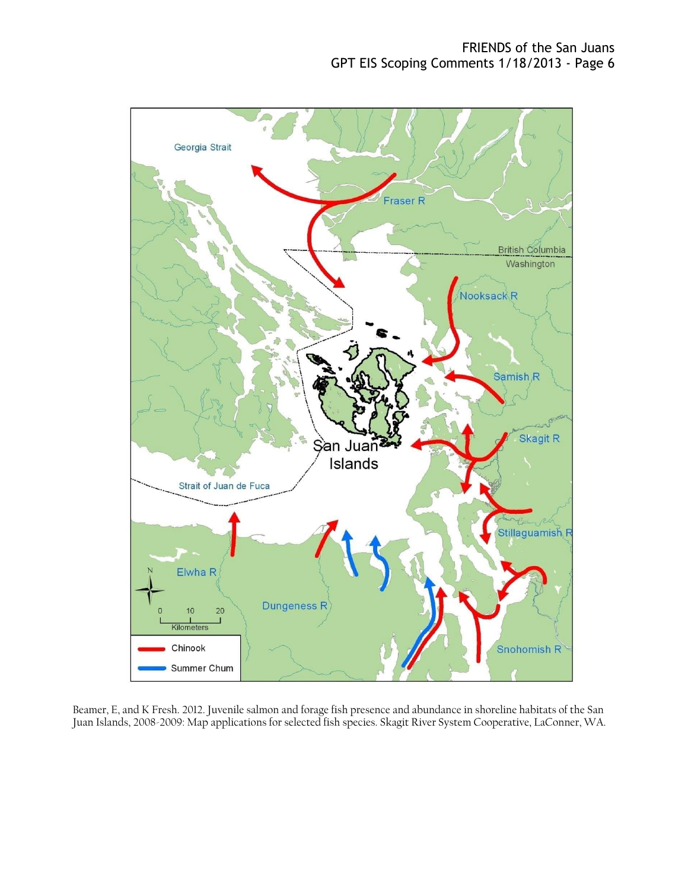

Beamer, E, and K Fresh. 2012. Juvenile salmon and forage fish presence and abundance in shoreline habitats of the San Juan Islands, 2008-2009: Map applications for selected fish species. Skagit River System Cooperative, LaConner, WA.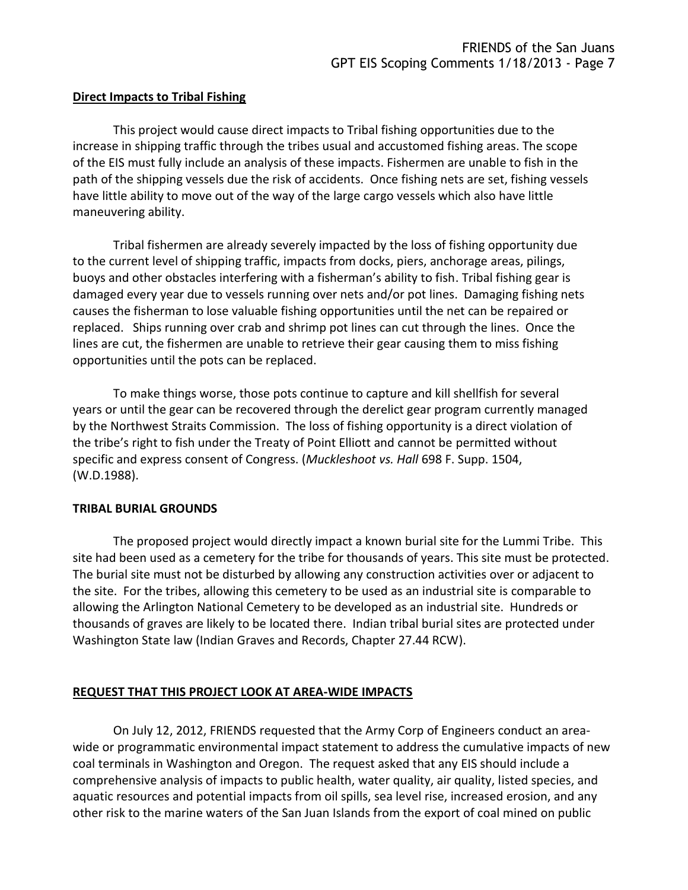### **Direct Impacts to Tribal Fishing**

This project would cause direct impacts to Tribal fishing opportunities due to the increase in shipping traffic through the tribes usual and accustomed fishing areas. The scope of the EIS must fully include an analysis of these impacts. Fishermen are unable to fish in the path of the shipping vessels due the risk of accidents. Once fishing nets are set, fishing vessels have little ability to move out of the way of the large cargo vessels which also have little maneuvering ability.

Tribal fishermen are already severely impacted by the loss of fishing opportunity due to the current level of shipping traffic, impacts from docks, piers, anchorage areas, pilings, buoys and other obstacles interfering with a fisherman's ability to fish. Tribal fishing gear is damaged every year due to vessels running over nets and/or pot lines. Damaging fishing nets causes the fisherman to lose valuable fishing opportunities until the net can be repaired or replaced. Ships running over crab and shrimp pot lines can cut through the lines. Once the lines are cut, the fishermen are unable to retrieve their gear causing them to miss fishing opportunities until the pots can be replaced.

To make things worse, those pots continue to capture and kill shellfish for several years or until the gear can be recovered through the derelict gear program currently managed by the Northwest Straits Commission. The loss of fishing opportunity is a direct violation of the tribe's right to fish under the Treaty of Point Elliott and cannot be permitted without specific and express consent of Congress. (*Muckleshoot vs. Hall* 698 F. Supp. 1504, (W.D.1988).

### **TRIBAL BURIAL GROUNDS**

The proposed project would directly impact a known burial site for the Lummi Tribe. This site had been used as a cemetery for the tribe for thousands of years. This site must be protected. The burial site must not be disturbed by allowing any construction activities over or adjacent to the site. For the tribes, allowing this cemetery to be used as an industrial site is comparable to allowing the Arlington National Cemetery to be developed as an industrial site. Hundreds or thousands of graves are likely to be located there. Indian tribal burial sites are protected under Washington State law (Indian Graves and Records, Chapter 27.44 RCW).

# **REQUEST THAT THIS PROJECT LOOK AT AREA-WIDE IMPACTS**

On July 12, 2012, FRIENDS requested that the Army Corp of Engineers conduct an areawide or programmatic environmental impact statement to address the cumulative impacts of new coal terminals in Washington and Oregon. The request asked that any EIS should include a comprehensive analysis of impacts to public health, water quality, air quality, listed species, and aquatic resources and potential impacts from oil spills, sea level rise, increased erosion, and any other risk to the marine waters of the San Juan Islands from the export of coal mined on public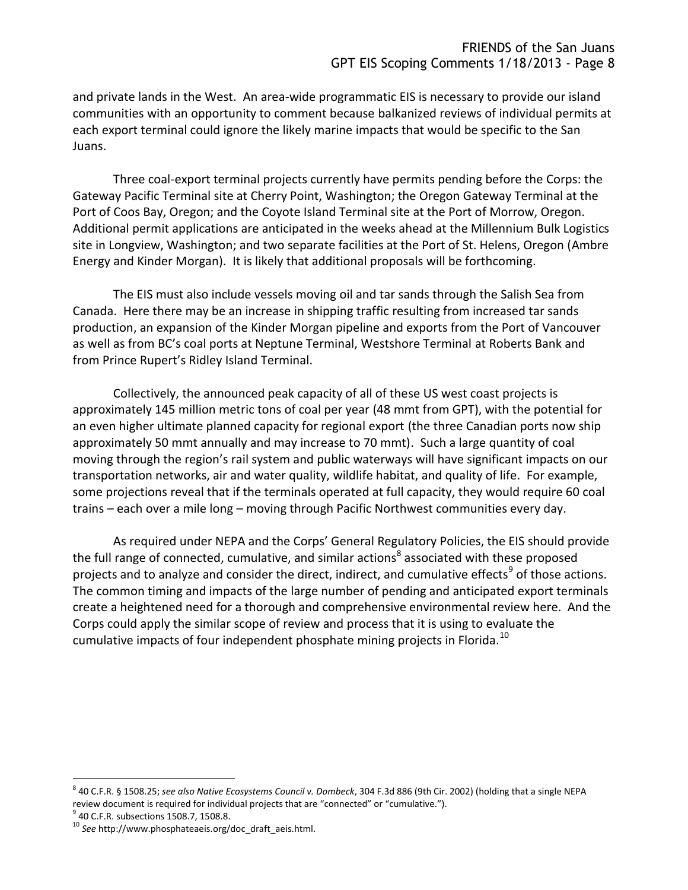and private lands in the West. An area-wide programmatic EIS is necessary to provide our island communities with an opportunity to comment because balkanized reviews of individual permits at each export terminal could ignore the likely marine impacts that would be specific to the San Juans.

Three coal-export terminal projects currently have permits pending before the Corps: the Gateway Pacific Terminal site at Cherry Point, Washington; the Oregon Gateway Terminal at the Port of Coos Bay, Oregon; and the Coyote Island Terminal site at the Port of Morrow, Oregon. Additional permit applications are anticipated in the weeks ahead at the Millennium Bulk Logistics site in Longview, Washington; and two separate facilities at the Port of St. Helens, Oregon (Ambre Energy and Kinder Morgan). It is likely that additional proposals will be forthcoming.

The EIS must also include vessels moving oil and tar sands through the Salish Sea from Canada. Here there may be an increase in shipping traffic resulting from increased tar sands production, an expansion of the Kinder Morgan pipeline and exports from the Port of Vancouver as well as from BC's coal ports at Neptune Terminal, Westshore Terminal at Roberts Bank and from Prince Rupert's Ridley Island Terminal.

Collectively, the announced peak capacity of all of these US west coast projects is approximately 145 million metric tons of coal per year (48 mmt from GPT), with the potential for an even higher ultimate planned capacity for regional export (the three Canadian ports now ship approximately 50 mmt annually and may increase to 70 mmt). Such a large quantity of coal moving through the region's rail system and public waterways will have significant impacts on our transportation networks, air and water quality, wildlife habitat, and quality of life. For example, some projections reveal that if the terminals operated at full capacity, they would require 60 coal trains – each over a mile long – moving through Pacific Northwest communities every day.

As required under NEPA and the Corps' General Regulatory Policies, the EIS should provide the full range of connected, cumulative, and similar actions<sup>8</sup> associated with these proposed projects and to analyze and consider the direct, indirect, and cumulative effects<sup>9</sup> of those actions. The common timing and impacts of the large number of pending and anticipated export terminals create a heightened need for a thorough and comprehensive environmental review here. And the Corps could apply the similar scope of review and process that it is using to evaluate the cumulative impacts of four independent phosphate mining projects in Florida.<sup>10</sup>

 $\overline{a}$ 

<sup>8</sup> 40 C.F.R. § 1508.25; *see also Native Ecosystems Council v. Dombeck*, 304 F.3d 886 (9th Cir. 2002) (holding that a single NEPA review document is required for individual projects that are "connected" or "cumulative.").

<sup>&</sup>lt;sup>9</sup> 40 C.F.R. subsections 1508.7, 1508.8.

<sup>10</sup> *See* http://www.phosphateaeis.org/doc\_draft\_aeis.html.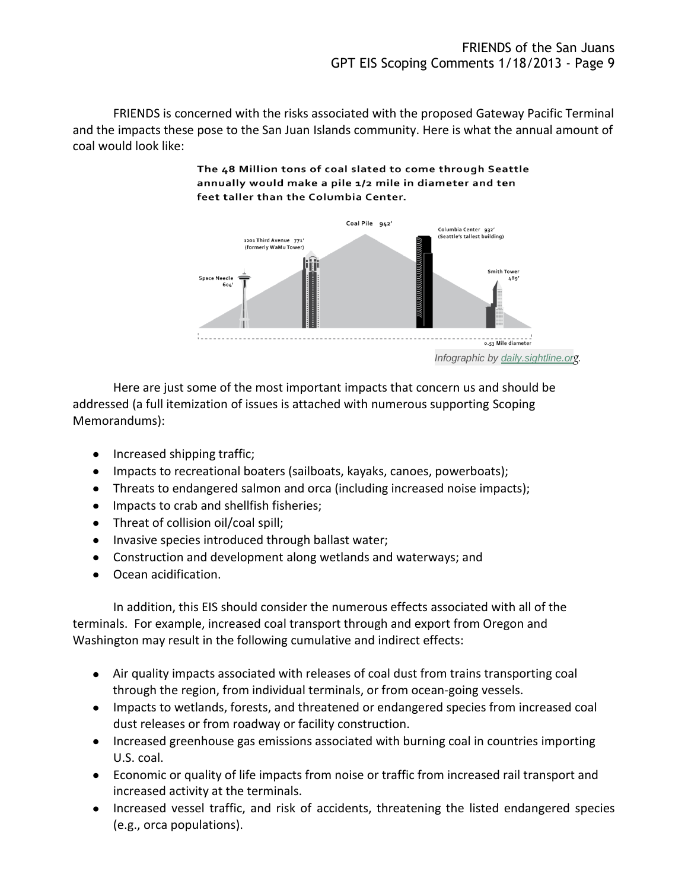FRIENDS is concerned with the risks associated with the proposed Gateway Pacific Terminal and the impacts these pose to the San Juan Islands community. Here is what the annual amount of coal would look like:

#### The 48 Million tons of coal slated to come through Seattle annually would make a pile 1/2 mile in diameter and ten feet taller than the Columbia Center.



*Infographic by [daily.sightline.or](http://daily.sightline.org/2012/11/08/visualizing-48-million-tons-of-coal/)g.*

Here are just some of the most important impacts that concern us and should be addressed (a full itemization of issues is attached with numerous supporting Scoping Memorandums):

- Increased shipping traffic;
- Impacts to recreational boaters (sailboats, kayaks, canoes, powerboats);
- Threats to endangered salmon and orca (including increased noise impacts);
- Impacts to crab and shellfish fisheries;
- Threat of collision oil/coal spill;
- Invasive species introduced through ballast water;
- Construction and development along wetlands and waterways; and
- Ocean acidification.

In addition, this EIS should consider the numerous effects associated with all of the terminals. For example, increased coal transport through and export from Oregon and Washington may result in the following cumulative and indirect effects:

- Air quality impacts associated with releases of coal dust from trains transporting coal through the region, from individual terminals, or from ocean-going vessels.
- Impacts to wetlands, forests, and threatened or endangered species from increased coal dust releases or from roadway or facility construction.
- Increased greenhouse gas emissions associated with burning coal in countries importing U.S. coal.
- Economic or quality of life impacts from noise or traffic from increased rail transport and increased activity at the terminals.
- Increased vessel traffic, and risk of accidents, threatening the listed endangered species (e.g., orca populations).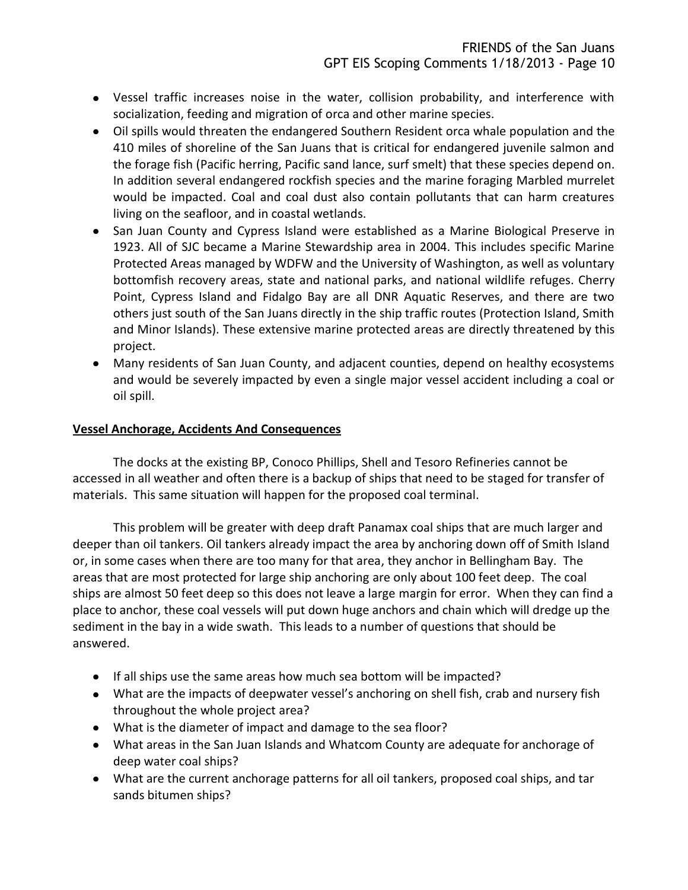- Vessel traffic increases noise in the water, collision probability, and interference with socialization, feeding and migration of orca and other marine species.
- Oil spills would threaten the endangered Southern Resident orca whale population and the 410 miles of shoreline of the San Juans that is critical for endangered juvenile salmon and the forage fish (Pacific herring, Pacific sand lance, surf smelt) that these species depend on. In addition several endangered rockfish species and the marine foraging Marbled murrelet would be impacted. Coal and coal dust also contain pollutants that can harm creatures living on the seafloor, and in coastal wetlands.
- San Juan County and Cypress Island were established as a Marine Biological Preserve in 1923. All of SJC became a Marine Stewardship area in 2004. This includes specific Marine Protected Areas managed by WDFW and the University of Washington, as well as voluntary bottomfish recovery areas, state and national parks, and national wildlife refuges. Cherry Point, Cypress Island and Fidalgo Bay are all DNR Aquatic Reserves, and there are two others just south of the San Juans directly in the ship traffic routes (Protection Island, Smith and Minor Islands). These extensive marine protected areas are directly threatened by this project.
- Many residents of San Juan County, and adjacent counties, depend on healthy ecosystems and would be severely impacted by even a single major vessel accident including a coal or oil spill.

### **Vessel Anchorage, Accidents And Consequences**

The docks at the existing BP, Conoco Phillips, Shell and Tesoro Refineries cannot be accessed in all weather and often there is a backup of ships that need to be staged for transfer of materials. This same situation will happen for the proposed coal terminal.

This problem will be greater with deep draft Panamax coal ships that are much larger and deeper than oil tankers. Oil tankers already impact the area by anchoring down off of Smith Island or, in some cases when there are too many for that area, they anchor in Bellingham Bay. The areas that are most protected for large ship anchoring are only about 100 feet deep. The coal ships are almost 50 feet deep so this does not leave a large margin for error. When they can find a place to anchor, these coal vessels will put down huge anchors and chain which will dredge up the sediment in the bay in a wide swath. This leads to a number of questions that should be answered.

- If all ships use the same areas how much sea bottom will be impacted?
- What are the impacts of deepwater vessel's anchoring on shell fish, crab and nursery fish throughout the whole project area?
- What is the diameter of impact and damage to the sea floor?
- What areas in the San Juan Islands and Whatcom County are adequate for anchorage of deep water coal ships?
- What are the current anchorage patterns for all oil tankers, proposed coal ships, and tar sands bitumen ships?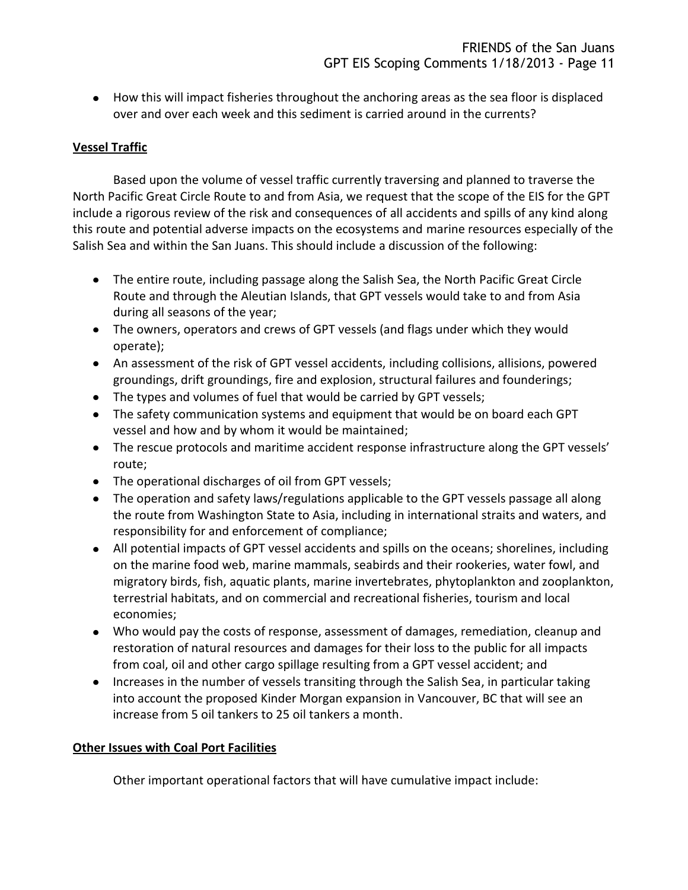How this will impact fisheries throughout the anchoring areas as the sea floor is displaced over and over each week and this sediment is carried around in the currents?

# **Vessel Traffic**

Based upon the volume of vessel traffic currently traversing and planned to traverse the North Pacific Great Circle Route to and from Asia, we request that the scope of the EIS for the GPT include a rigorous review of the risk and consequences of all accidents and spills of any kind along this route and potential adverse impacts on the ecosystems and marine resources especially of the Salish Sea and within the San Juans. This should include a discussion of the following:

- The entire route, including passage along the Salish Sea, the North Pacific Great Circle Route and through the Aleutian Islands, that GPT vessels would take to and from Asia during all seasons of the year;
- The owners, operators and crews of GPT vessels (and flags under which they would operate);
- An assessment of the risk of GPT vessel accidents, including collisions, allisions, powered groundings, drift groundings, fire and explosion, structural failures and founderings;
- The types and volumes of fuel that would be carried by GPT vessels;
- The safety communication systems and equipment that would be on board each GPT vessel and how and by whom it would be maintained;
- The rescue protocols and maritime accident response infrastructure along the GPT vessels' route;
- The operational discharges of oil from GPT vessels;
- The operation and safety laws/regulations applicable to the GPT vessels passage all along the route from Washington State to Asia, including in international straits and waters, and responsibility for and enforcement of compliance;
- All potential impacts of GPT vessel accidents and spills on the oceans; shorelines, including on the marine food web, marine mammals, seabirds and their rookeries, water fowl, and migratory birds, fish, aquatic plants, marine invertebrates, phytoplankton and zooplankton, terrestrial habitats, and on commercial and recreational fisheries, tourism and local economies;
- Who would pay the costs of response, assessment of damages, remediation, cleanup and restoration of natural resources and damages for their loss to the public for all impacts from coal, oil and other cargo spillage resulting from a GPT vessel accident; and
- Increases in the number of vessels transiting through the Salish Sea, in particular taking into account the proposed Kinder Morgan expansion in Vancouver, BC that will see an increase from 5 oil tankers to 25 oil tankers a month.

# **Other Issues with Coal Port Facilities**

Other important operational factors that will have cumulative impact include: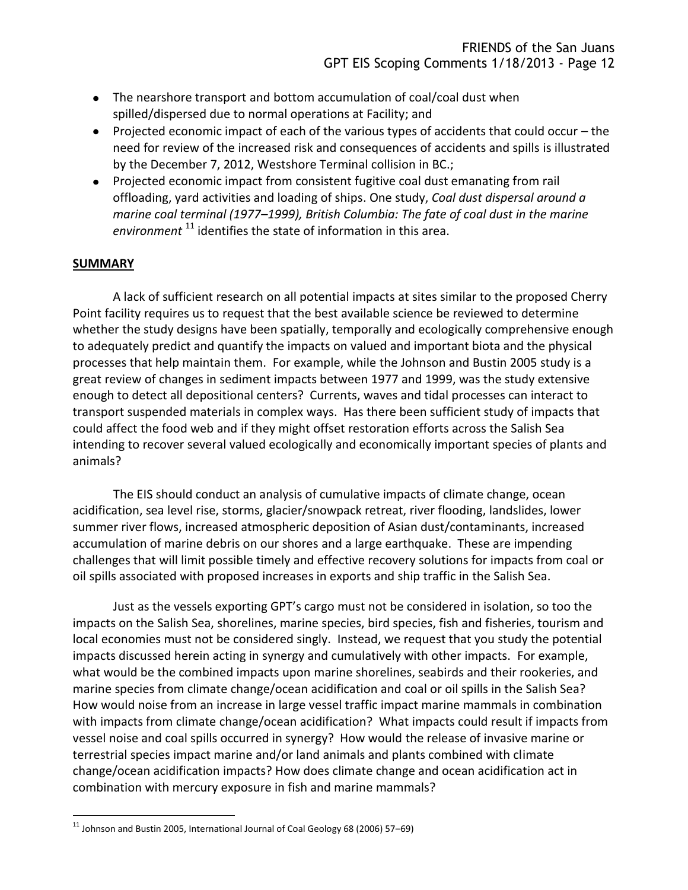- The nearshore transport and bottom accumulation of coal/coal dust when spilled/dispersed due to normal operations at Facility; and
- Projected economic impact of each of the various types of accidents that could occur the need for review of the increased risk and consequences of accidents and spills is illustrated by the December 7, 2012, Westshore Terminal collision in BC.;
- Projected economic impact from consistent fugitive coal dust emanating from rail offloading, yard activities and loading of ships. One study, *Coal dust dispersal around a marine coal terminal (1977–1999), British Columbia: The fate of coal dust in the marine*  environment<sup>11</sup> identifies the state of information in this area.

### **SUMMARY**

 $\overline{a}$ 

A lack of sufficient research on all potential impacts at sites similar to the proposed Cherry Point facility requires us to request that the best available science be reviewed to determine whether the study designs have been spatially, temporally and ecologically comprehensive enough to adequately predict and quantify the impacts on valued and important biota and the physical processes that help maintain them. For example, while the Johnson and Bustin 2005 study is a great review of changes in sediment impacts between 1977 and 1999, was the study extensive enough to detect all depositional centers? Currents, waves and tidal processes can interact to transport suspended materials in complex ways. Has there been sufficient study of impacts that could affect the food web and if they might offset restoration efforts across the Salish Sea intending to recover several valued ecologically and economically important species of plants and animals?

The EIS should conduct an analysis of cumulative impacts of climate change, ocean acidification, sea level rise, storms, glacier/snowpack retreat, river flooding, landslides, lower summer river flows, increased atmospheric deposition of Asian dust/contaminants, increased accumulation of marine debris on our shores and a large earthquake. These are impending challenges that will limit possible timely and effective recovery solutions for impacts from coal or oil spills associated with proposed increases in exports and ship traffic in the Salish Sea.

Just as the vessels exporting GPT's cargo must not be considered in isolation, so too the impacts on the Salish Sea, shorelines, marine species, bird species, fish and fisheries, tourism and local economies must not be considered singly. Instead, we request that you study the potential impacts discussed herein acting in synergy and cumulatively with other impacts. For example, what would be the combined impacts upon marine shorelines, seabirds and their rookeries, and marine species from climate change/ocean acidification and coal or oil spills in the Salish Sea? How would noise from an increase in large vessel traffic impact marine mammals in combination with impacts from climate change/ocean acidification? What impacts could result if impacts from vessel noise and coal spills occurred in synergy? How would the release of invasive marine or terrestrial species impact marine and/or land animals and plants combined with climate change/ocean acidification impacts? How does climate change and ocean acidification act in combination with mercury exposure in fish and marine mammals?

 $^{11}$  Johnson and Bustin 2005, International Journal of Coal Geology 68 (2006) 57–69)